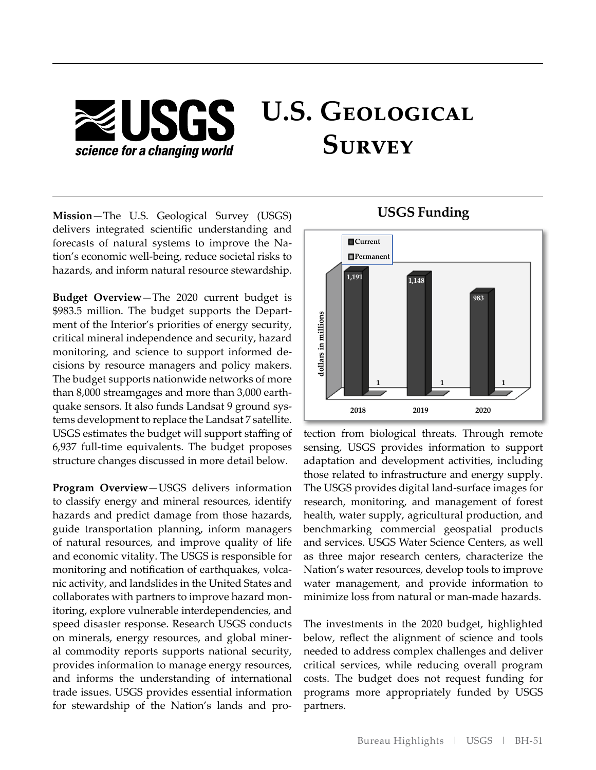# **U.S. Geological ZUSGS Survey** science for a changing world

- forecasts of natural systems to improve the Na **Mission**—The U.S. Geological Survey (USGS) delivers integrated scientific understanding and tion's economic well-being, reduce societal risks to hazards, and inform natural resource stewardship.

- \$983.5 million. The budget supports the Depart - monitoring, and science to support informed de - than 8,000 streamgages and more than 3,000 earth - quake sensors. It also funds Landsat 9 ground sys **Budget Overview**—The 2020 current budget is ment of the Interior's priorities of energy security, critical mineral independence and security, hazard cisions by resource managers and policy makers. The budget supports nationwide networks of more tems development to replace the Landsat 7 satellite. USGS estimates the budget will support staffing of 6,937 full-time equivalents. The budget proposes structure changes discussed in more detail below.

- monitoring and notification of earthquakes, volca - collaborates with partners to improve hazard mon - on minerals, energy resources, and global miner - for stewardship of the Nation's lands and pro **Program Overview**—USGS delivers information to classify energy and mineral resources, identify hazards and predict damage from those hazards, guide transportation planning, inform managers of natural resources, and improve quality of life and economic vitality. The USGS is responsible for nic activity, and landslides in the United States and itoring, explore vulnerable interdependencies, and speed disaster response. Research USGS conducts al commodity reports supports national security, provides information to manage energy resources, and informs the understanding of international trade issues. USGS provides essential information



tection from biological threats. Through remote sensing, USGS provides information to support adaptation and development activities, including those related to infrastructure and energy supply. The USGS provides digital land-surface images for research, monitoring, and management of forest health, water supply, agricultural production, and benchmarking commercial geospatial products and services. USGS Water Science Centers, as well as three major research centers, characterize the Nation's water resources, develop tools to improve water management, and provide information to minimize loss from natural or man-made hazards.

The investments in the 2020 budget, highlighted below, reflect the alignment of science and tools needed to address complex challenges and deliver critical services, while reducing overall program costs. The budget does not request funding for programs more appropriately funded by USGS partners.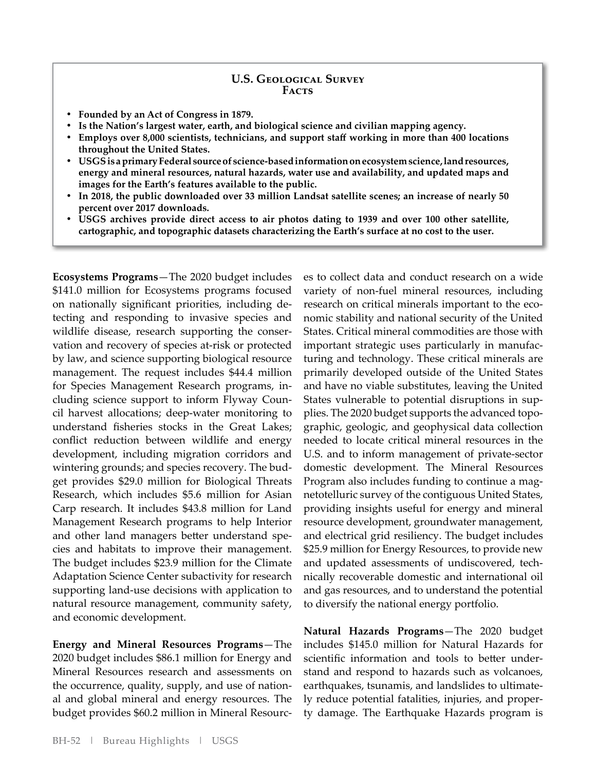#### **U.S. Geological Survey Facts**

- **Founded by an Act of Congress in 1879.**
- **Is the Nation's largest water, earth, and biological science and civilian mapping agency.**
- **Employs over 8,000 scientists, technicians, and support staff working in more than 400 locations throughout the United States.**
- **• USGS is a primary Federal source of science-based information on ecosystem science, land resources, energy and mineral resources, natural hazards, water use and availability, and updated maps and images for the Earth's features available to the public.**
- **In 2018, the public downloaded over 33 million Landsat satellite scenes; an increase of nearly 50 percent over 2017 downloads.**
- **USGS archives provide direct access to air photos dating to 1939 and over 100 other satellite, cartographic, and topographic datasets characterizing the Earth's surface at no cost to the user.**

- on nationally significant priorities, including de wildlife disease, research supporting the conser-- for Species Management Research programs, in - cluding science support to inform Flyway Coun - wintering grounds; and species recovery. The bud - and other land managers better understand spe **Ecosystems Programs**—The 2020 budget includes \$141.0 million for Ecosystems programs focused tecting and responding to invasive species and vation and recovery of species at-risk or protected by law, and science supporting biological resource management. The request includes \$44.4 million cil harvest allocations; deep-water monitoring to understand fisheries stocks in the Great Lakes; conflict reduction between wildlife and energy development, including migration corridors and get provides \$29.0 million for Biological Threats Research, which includes \$5.6 million for Asian Carp research. It includes \$43.8 million for Land Management Research programs to help Interior cies and habitats to improve their management. The budget includes \$23.9 million for the Climate Adaptation Science Center subactivity for research supporting land-use decisions with application to natural resource management, community safety, and economic development.

the occurrence, quality, supply, and use of nation-- budget provides \$60.2 million in Mineral Resourc **Energy and Mineral Resources Programs**—The 2020 budget includes \$86.1 million for Energy and Mineral Resources research and assessments on al and global mineral and energy resources. The

research on critical minerals important to the eco-- important strategic uses particularly in manufac - States vulnerable to potential disruptions in sup - plies. The 2020 budget supports the advanced topo - Program also includes funding to continue a mag - and updated assessments of undiscovered, tech es to collect data and conduct research on a wide variety of non-fuel mineral resources, including nomic stability and national security of the United States. Critical mineral commodities are those with turing and technology. These critical minerals are primarily developed outside of the United States and have no viable substitutes, leaving the United graphic, geologic, and geophysical data collection needed to locate critical mineral resources in the U.S. and to inform management of private-sector domestic development. The Mineral Resources netotelluric survey of the contiguous United States, providing insights useful for energy and mineral resource development, groundwater management, and electrical grid resiliency. The budget includes \$25.9 million for Energy Resources, to provide new nically recoverable domestic and international oil and gas resources, and to understand the potential to diversify the national energy portfolio.

- scientific information and tools to better under - earthquakes, tsunamis, and landslides to ultimate - ly reduce potential fatalities, injuries, and proper **Natural Hazards Programs**—The 2020 budget includes \$145.0 million for Natural Hazards for stand and respond to hazards such as volcanoes, ty damage. The Earthquake Hazards program is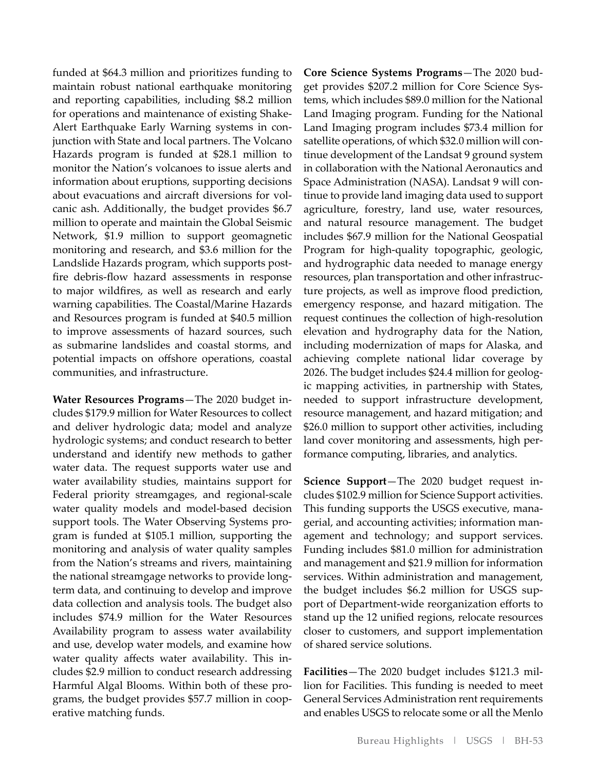funded at \$64.3 million and prioritizes funding to maintain robust national earthquake monitoring and reporting capabilities, including \$8.2 million for operations and maintenance of existing Shake-Alert Earthquake Early Warning systems in conjunction with State and local partners. The Volcano Hazards program is funded at \$28.1 million to monitor the Nation's volcanoes to issue alerts and information about eruptions, supporting decisions about evacuations and aircraft diversions for volcanic ash. Additionally, the budget provides \$6.7 million to operate and maintain the Global Seismic Network, \$1.9 million to support geomagnetic monitoring and research, and \$3.6 million for the Landslide Hazards program, which supports postfire debris-flow hazard assessments in response to major wildfires, as well as research and early warning capabilities. The Coastal/Marine Hazards and Resources program is funded at \$40.5 million to improve assessments of hazard sources, such as submarine landslides and coastal storms, and potential impacts on offshore operations, coastal communities, and infrastructure.

**Water Resources Programs**—The 2020 budget includes \$179.9 million for Water Resources to collect and deliver hydrologic data; model and analyze hydrologic systems; and conduct research to better understand and identify new methods to gather water data. The request supports water use and water availability studies, maintains support for Federal priority streamgages, and regional-scale water quality models and model-based decision support tools. The Water Observing Systems program is funded at \$105.1 million, supporting the monitoring and analysis of water quality samples from the Nation's streams and rivers, maintaining the national streamgage networks to provide longterm data, and continuing to develop and improve data collection and analysis tools. The budget also includes \$74.9 million for the Water Resources Availability program to assess water availability and use, develop water models, and examine how water quality affects water availability. This includes \$2.9 million to conduct research addressing Harmful Algal Blooms. Within both of these programs, the budget provides \$57.7 million in cooperative matching funds.

**Core Science Systems Programs**—The 2020 budget provides \$207.2 million for Core Science Systems, which includes \$89.0 million for the National Land Imaging program. Funding for the National Land Imaging program includes \$73.4 million for satellite operations, of which \$32.0 million will continue development of the Landsat 9 ground system in collaboration with the National Aeronautics and Space Administration (NASA). Landsat 9 will continue to provide land imaging data used to support agriculture, forestry, land use, water resources, and natural resource management. The budget includes \$67.9 million for the National Geospatial Program for high-quality topographic, geologic, and hydrographic data needed to manage energy resources, plan transportation and other infrastructure projects, as well as improve flood prediction, emergency response, and hazard mitigation. The request continues the collection of high-resolution elevation and hydrography data for the Nation, including modernization of maps for Alaska, and achieving complete national lidar coverage by 2026. The budget includes \$24.4 million for geologic mapping activities, in partnership with States, needed to support infrastructure development, resource management, and hazard mitigation; and \$26.0 million to support other activities, including land cover monitoring and assessments, high performance computing, libraries, and analytics.

**Science Support**—The 2020 budget request includes \$102.9 million for Science Support activities. This funding supports the USGS executive, managerial, and accounting activities; information management and technology; and support services. Funding includes \$81.0 million for administration and management and \$21.9 million for information services. Within administration and management, the budget includes \$6.2 million for USGS support of Department-wide reorganization efforts to stand up the 12 unified regions, relocate resources closer to customers, and support implementation of shared service solutions.

**Facilities**—The 2020 budget includes \$121.3 million for Facilities. This funding is needed to meet General Services Administration rent requirements and enables USGS to relocate some or all the Menlo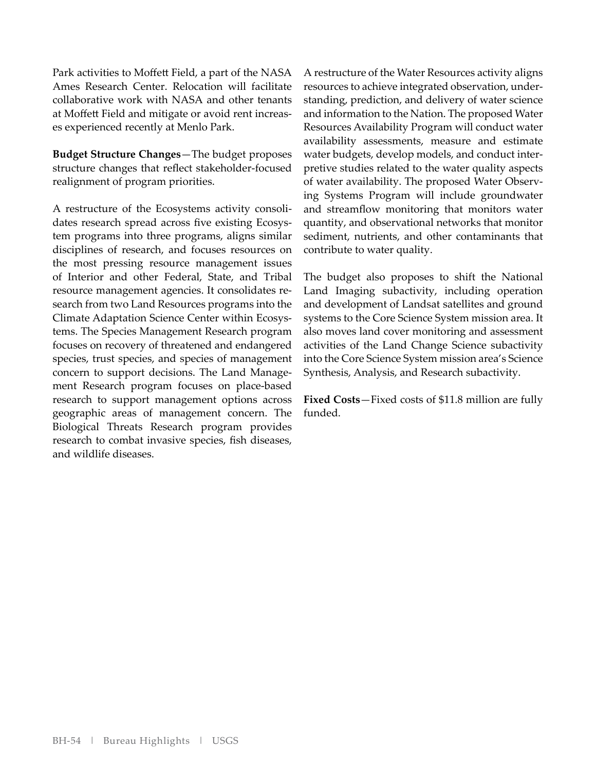Park activities to Moffett Field, a part of the NASA Ames Research Center. Relocation will facilitate collaborative work with NASA and other tenants at Moffett Field and mitigate or avoid rent increases experienced recently at Menlo Park.

**Budget Structure Changes**—The budget proposes structure changes that reflect stakeholder-focused realignment of program priorities.

A restructure of the Ecosystems activity consolidates research spread across five existing Ecosystem programs into three programs, aligns similar disciplines of research, and focuses resources on the most pressing resource management issues of Interior and other Federal, State, and Tribal resource management agencies. It consolidates research from two Land Resources programs into the Climate Adaptation Science Center within Ecosystems. The Species Management Research program focuses on recovery of threatened and endangered species, trust species, and species of management concern to support decisions. The Land Management Research program focuses on place-based research to support management options across geographic areas of management concern. The Biological Threats Research program provides research to combat invasive species, fish diseases, and wildlife diseases.

A restructure of the Water Resources activity aligns resources to achieve integrated observation, understanding, prediction, and delivery of water science and information to the Nation. The proposed Water Resources Availability Program will conduct water availability assessments, measure and estimate water budgets, develop models, and conduct interpretive studies related to the water quality aspects of water availability. The proposed Water Observing Systems Program will include groundwater and streamflow monitoring that monitors water quantity, and observational networks that monitor sediment, nutrients, and other contaminants that contribute to water quality.

The budget also proposes to shift the National Land Imaging subactivity, including operation and development of Landsat satellites and ground systems to the Core Science System mission area. It also moves land cover monitoring and assessment activities of the Land Change Science subactivity into the Core Science System mission area's Science Synthesis, Analysis, and Research subactivity.

**Fixed Costs**—Fixed costs of \$11.8 million are fully funded.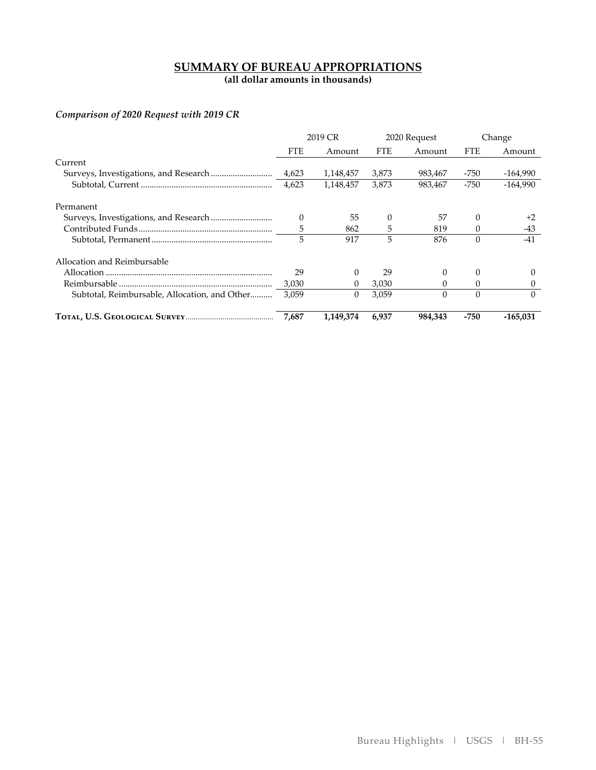## **SUMMARY OF BUREAU APPROPRIATIONS**

**(all dollar amounts in thousands)** 

## *Comparison of 2020 Request with 2019 CR*

|                                               | 2019 CR    |           | 2020 Request |          | Change     |            |
|-----------------------------------------------|------------|-----------|--------------|----------|------------|------------|
|                                               | <b>FTE</b> | Amount    | <b>FTE</b>   | Amount   | <b>FTE</b> | Amount     |
| Current                                       |            |           |              |          |            |            |
|                                               |            | 1,148,457 | 3,873        | 983,467  | -750       | -164,990   |
|                                               | 4,623      | 1,148,457 | 3,873        | 983,467  | $-750$     | $-164.990$ |
| Permanent                                     |            |           |              |          |            |            |
|                                               | $\Omega$   | 55        | $\Omega$     | 57       | $\Omega$   | $+2$       |
|                                               | 5          | 862       | 5            | 819      | $\Omega$   | $-43$      |
|                                               | 5          | 917       | 5            | 876      | $\Omega$   | -41        |
| Allocation and Reimbursable                   |            |           |              |          |            |            |
|                                               | 29         | $\Omega$  | 29           | 0        | 0          | $\theta$   |
|                                               | 3,030      | $\Omega$  | 3,030        | 0        | 0          | 0          |
| Subtotal, Reimbursable, Allocation, and Other | 3,059      | $\theta$  | 3,059        | $\Omega$ | $\Omega$   | 0          |
|                                               | 7,687      | 1,149,374 | 6.937        | 984.343  | $-750$     | $-165.031$ |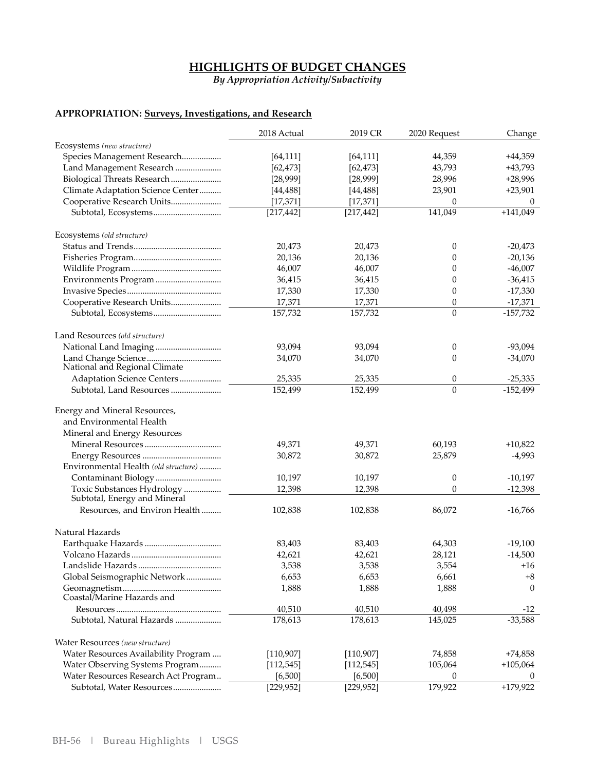## **HIGHLIGHTS OF BUDGET CHANGES**

*By Appropriation Activity/Subactivity*

## **APPROPRIATION: Surveys, Investigations, and Research**

|                                      | 2018 Actual | 2019 CR    | 2020 Request     | Change     |
|--------------------------------------|-------------|------------|------------------|------------|
| Ecosystems (new structure)           |             |            |                  |            |
| Species Management Research          | [64, 111]   | [64, 111]  | 44,359           | $+44,359$  |
| Land Management Research             | [62, 473]   | [62, 473]  | 43,793           | $+43,793$  |
| Biological Threats Research          | [28,999]    | [28,999]   | 28,996           | $+28,996$  |
| Climate Adaptation Science Center    | [44, 488]   | [44, 488]  | 23,901           | $+23,901$  |
| Cooperative Research Units           | [17, 371]   | [17, 371]  | $\theta$         | 0          |
|                                      | [217, 442]  | [217, 442] | 141,049          | $+141,049$ |
| Ecosystems (old structure)           |             |            |                  |            |
|                                      | 20,473      | 20,473     | 0                | $-20,473$  |
|                                      | 20,136      | 20,136     | 0                | $-20,136$  |
|                                      | 46,007      | 46,007     | 0                | $-46,007$  |
| Environments Program                 | 36,415      | 36,415     | 0                | $-36,415$  |
|                                      | 17,330      | 17,330     | 0                | $-17,330$  |
| Cooperative Research Units           | 17,371      | 17,371     | 0                | $-17,371$  |
|                                      | 157,732     | 157,732    | $\overline{0}$   | $-157,732$ |
| Land Resources (old structure)       |             |            |                  |            |
|                                      | 93,094      | 93,094     | 0                | $-93,094$  |
|                                      | 34,070      | 34,070     | 0                | $-34,070$  |
| National and Regional Climate        |             |            |                  |            |
| Adaptation Science Centers           | 25,335      | 25,335     | 0                | $-25,335$  |
| Subtotal, Land Resources             | 152,499     | 152,499    | $\theta$         | $-152,499$ |
| Energy and Mineral Resources,        |             |            |                  |            |
| and Environmental Health             |             |            |                  |            |
| Mineral and Energy Resources         |             |            |                  |            |
|                                      | 49,371      | 49,371     | 60,193           | $+10,822$  |
|                                      | 30,872      | 30,872     | 25,879           | $-4,993$   |
| Environmental Health (old structure) |             |            |                  |            |
| Contaminant Biology                  | 10,197      | 10,197     | $\boldsymbol{0}$ | $-10,197$  |
| Toxic Substances Hydrology           | 12,398      | 12,398     | 0                | $-12,398$  |
| Subtotal, Energy and Mineral         |             |            |                  |            |
| Resources, and Environ Health        | 102,838     | 102,838    | 86,072           | $-16,766$  |
| Natural Hazards                      |             |            |                  |            |
|                                      | 83,403      | 83,403     | 64,303           | $-19,100$  |
|                                      | 42,621      | 42,621     | 28,121           | $-14,500$  |
|                                      | 3,538       | 3,538      | 3,554            | $+16$      |
| Global Seismographic Network         | 6,653       | 6,653      | 6,661            | $+8$       |
| Coastal/Marine Hazards and           | 1,888       | 1,888      | 1,888            | $\Omega$   |
|                                      | 40,510      | 40,510     | 40,498           | $-12$      |
| Subtotal, Natural Hazards            | 178,613     | 178,613    | 145,025          | $-33,588$  |
| Water Resources (new structure)      |             |            |                  |            |
| Water Resources Availability Program | [110, 907]  | [110, 907] | 74,858           | +74,858    |
| Water Observing Systems Program      | [112, 545]  | [112, 545] | 105,064          | $+105,064$ |
| Water Resources Research Act Program | [6, 500]    | [6, 500]   | 0                | $\theta$   |
| Subtotal, Water Resources            | [229, 952]  | [229, 952] | 179,922          | $+179,922$ |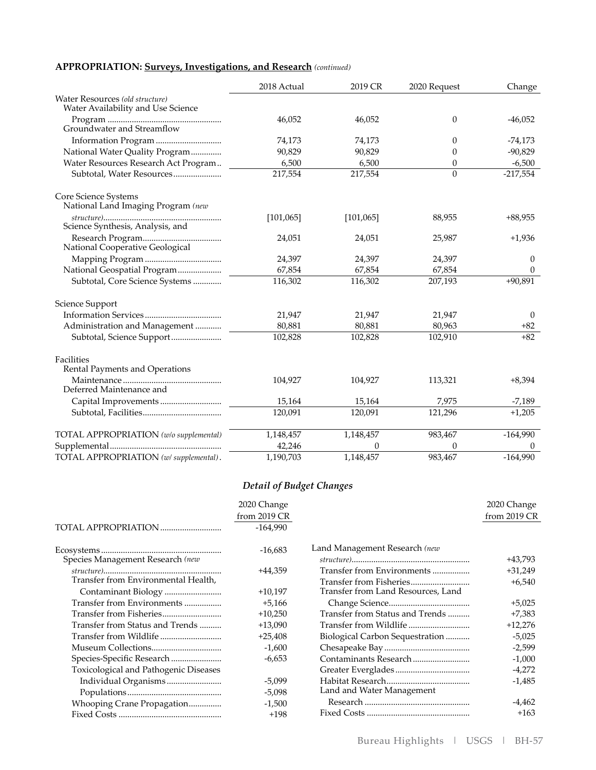## **APPROPRIATION: Surveys, Investigations, and Research** *(continued)*

|                                                                       | 2018 Actual | 2019 CR   | 2020 Request | Change     |
|-----------------------------------------------------------------------|-------------|-----------|--------------|------------|
| Water Resources (old structure)<br>Water Availability and Use Science |             |           |              |            |
| Groundwater and Streamflow                                            | 46,052      | 46,052    | $\theta$     | $-46,052$  |
|                                                                       | 74,173      | 74,173    | $\theta$     | $-74,173$  |
| National Water Quality Program                                        | 90,829      | 90,829    | 0            | $-90,829$  |
| Water Resources Research Act Program                                  | 6,500       | 6,500     | 0            | $-6,500$   |
| Subtotal, Water Resources                                             | 217,554     | 217,554   | $\Omega$     | $-217,554$ |
| Core Science Systems<br>National Land Imaging Program (new            |             |           |              |            |
| Science Synthesis, Analysis, and                                      | [101, 065]  | [101,065] | 88,955       | $+88,955$  |
| National Cooperative Geological                                       | 24,051      | 24,051    | 25,987       | $+1,936$   |
|                                                                       | 24,397      | 24,397    | 24,397       | $\Omega$   |
| National Geospatial Program                                           | 67,854      | 67,854    | 67,854       | 0          |
| Subtotal, Core Science Systems                                        | 116,302     | 116,302   | 207,193      | $+90,891$  |
| Science Support                                                       |             |           |              |            |
|                                                                       | 21,947      | 21,947    | 21,947       | $\theta$   |
| Administration and Management                                         | 80,881      | 80,881    | 80,963       | $+82$      |
| Subtotal, Science Support                                             | 102,828     | 102,828   | 102,910      | $+82$      |
| Facilities<br>Rental Payments and Operations                          |             |           |              |            |
| Deferred Maintenance and                                              | 104,927     | 104,927   | 113,321      | $+8,394$   |
|                                                                       | 15,164      | 15,164    | 7,975        | $-7,189$   |
|                                                                       | 120,091     | 120,091   | 121,296      | $+1,205$   |
| TOTAL APPROPRIATION (w/o supplemental)                                | 1,148,457   | 1,148,457 | 983,467      | $-164,990$ |
|                                                                       | 42,246      | 0         | 0            |            |
| TOTAL APPROPRIATION (w/ supplemental).                                | 1,190,703   | 1,148,457 | 983,467      | $-164,990$ |

## *Detail of Budget Changes*

|                                       | 2020 Change  |                                    | 2020 Change  |
|---------------------------------------|--------------|------------------------------------|--------------|
|                                       | from 2019 CR |                                    | from 2019 CR |
|                                       | $-164.990$   |                                    |              |
|                                       | $-16,683$    | Land Management Research (new      |              |
| Species Management Research (new      |              |                                    | +43,793      |
|                                       | +44,359      | Transfer from Environments         | $+31,249$    |
| Transfer from Environmental Health,   |              |                                    | $+6,540$     |
|                                       | $+10,197$    | Transfer from Land Resources, Land |              |
| Transfer from Environments            | $+5,166$     |                                    | $+5,025$     |
|                                       | $+10,250$    | Transfer from Status and Trends    | +7,383       |
| Transfer from Status and Trends       | $+13,090$    |                                    | $+12,276$    |
|                                       | $+25,408$    | Biological Carbon Sequestration    | $-5,025$     |
|                                       | $-1,600$     |                                    | $-2,599$     |
|                                       | $-6,653$     |                                    | $-1,000$     |
| Toxicological and Pathogenic Diseases |              |                                    | $-4,272$     |
| Individual Organisms                  | $-5,099$     |                                    | $-1,485$     |
|                                       | $-5,098$     | Land and Water Management          |              |
| Whooping Crane Propagation            | $-1,500$     |                                    | -4,462       |
|                                       | $+198$       |                                    | $+163$       |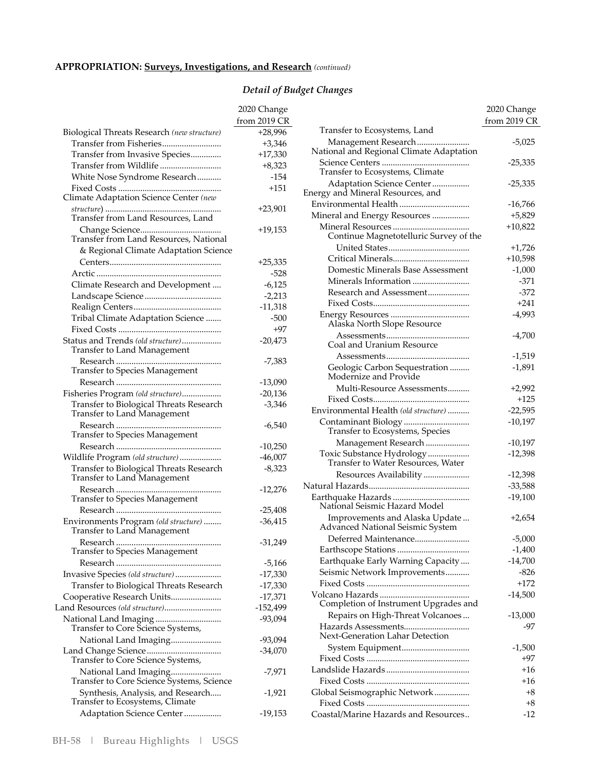## **APPROPRIATION: Surveys, Investigations, and Research** *(continued)*

# *Detail of Budget Changes*

|                                                                        | 2020 Change  |
|------------------------------------------------------------------------|--------------|
|                                                                        | from 2019 CR |
| Biological Threats Research (new structure)                            | $+28,996$    |
| Transfer from Fisheries                                                | $+3,346$     |
| Transfer from Invasive Species                                         | $+17,330$    |
| Transfer from Wildlife                                                 | $+8,323$     |
| White Nose Syndrome Research                                           | $-154$       |
|                                                                        | $+151$       |
| Transfer from Land Resources, Land                                     | $+23,901$    |
|                                                                        | +19,153      |
| Transfer from Land Resources, National                                 |              |
| & Regional Climate Adaptation Science                                  |              |
|                                                                        | +25,335      |
|                                                                        | -528         |
| Climate Research and Development                                       | $-6,125$     |
|                                                                        | $-2,213$     |
|                                                                        | $-11,318$    |
| Tribal Climate Adaptation Science                                      | -500         |
|                                                                        | $+97$        |
| Status and Trends (old structure)<br>Transfer to Land Management       | $-20,473$    |
| Transfer to Species Management                                         | -7,383       |
|                                                                        | $-13,090$    |
| Fisheries Program (old structure)                                      | $-20,136$    |
| Transfer to Biological Threats Research<br>Transfer to Land Management | $-3,346$     |
| Transfer to Species Management                                         | $-6,540$     |
|                                                                        | $-10,250$    |
| Wildlife Program (old structure)                                       | $-46,007$    |
| Transfer to Biological Threats Research<br>Transfer to Land Management | $-8,323$     |
| Transfer to Species Management                                         | $-12,276$    |
|                                                                        | $-25,408$    |
| Environments Program (old structure)<br>Transfer to Land Management    | $-36,415$    |
| Transfer to Species Management                                         | $-31,249$    |
|                                                                        | $-5,166$     |
| Invasive Species (old structure)                                       | $-17,330$    |
| Transfer to Biological Threats Research                                | $-17,330$    |
| Cooperative Research Units                                             | $-17,371$    |
| Land Resources (old structure)                                         | $-152,499$   |
| National Land Imaging<br>Transfer to Core Science Systems,             | $-93,094$    |
| National Land Imaging                                                  | -93,094      |
| Transfer to Core Science Systems,                                      | -34,070      |
| National Land Imaging<br>Transfer to Core Science Systems, Science     | -7,971       |
| Synthesis, Analysis, and Research<br>Transfer to Ecosystems, Climate   | $-1,921$     |
| Adaptation Science Center                                              | -19,153      |

|                                                                    | 2020 Change<br>from 2019 CR |
|--------------------------------------------------------------------|-----------------------------|
| Transfer to Ecosystems, Land                                       |                             |
| Management Research<br>National and Regional Climate Adaptation    | $-5,025$                    |
| Science Centers<br>Transfer to Ecosystems, Climate                 | -25,335                     |
| Adaptation Science Center<br>Energy and Mineral Resources, and     | -25,335                     |
| Environmental Health                                               | $-16,766$                   |
| Mineral and Energy Resources                                       | $+5,829$                    |
| Continue Magnetotelluric Survey of the                             | $+10,822$                   |
|                                                                    | $+1,726$                    |
|                                                                    | $+10,598$                   |
| Domestic Minerals Base Assessment                                  | $-1,000$                    |
| Minerals Information                                               | $-371$                      |
| Research and Assessment                                            | $-372$                      |
|                                                                    | $+241$                      |
| Alaska North Slope Resource                                        | $-4,993$                    |
| Coal and Uranium Resource                                          | $-4,700$                    |
|                                                                    | $-1,519$                    |
| Geologic Carbon Sequestration<br>Modernize and Provide             | $-1,891$                    |
| Multi-Resource Assessments                                         | $+2,992$                    |
|                                                                    | $+125$                      |
| Environmental Health (old structure)                               | $-22,595$                   |
| Contaminant Biology<br>.<br>Transfer to Ecosystems, Species        | $-10,197$                   |
| Management Research                                                | $-10,197$                   |
| Toxic Substance Hydrology<br>Transfer to Water Resources, Water    | $-12,398$                   |
| Resources Availability                                             | -12,398                     |
|                                                                    | $-33,588$                   |
| National Seismic Hazard Model                                      | $-19,100$                   |
| Improvements and Alaska Update<br>Advanced National Seismic System | $+2,654$                    |
| Deferred Maintenance                                               | $-5,000$                    |
|                                                                    | $-1,400$                    |
| Earthquake Early Warning Capacity                                  | $-14,700$                   |
| Seismic Network Improvements                                       | $-826$                      |
|                                                                    | $+172$                      |
| Completion of Instrument Upgrades and                              | $-14,500$                   |
| Repairs on High-Threat Volcanoes                                   | $-13,000$                   |
| Hazards Assessments<br>Next-Generation Lahar Detection             | -97                         |
| System Equipment                                                   | $-1,500$                    |
|                                                                    | +97                         |
|                                                                    | $+16$                       |
|                                                                    | $+16$                       |
| Global Seismographic Network                                       | +8                          |
|                                                                    | $+8$                        |
| Coastal/Marine Hazards and Resources                               | $-12$                       |